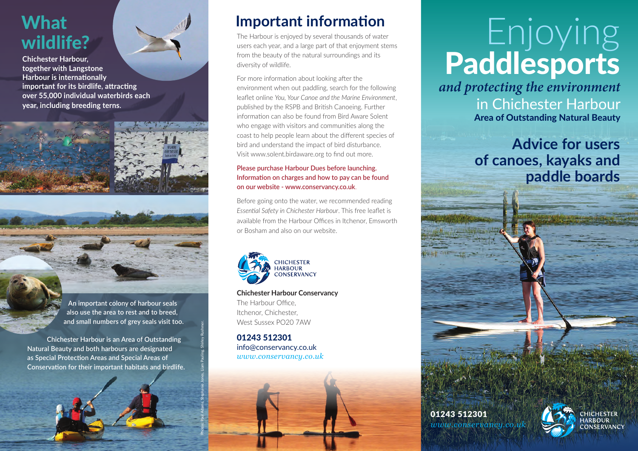## What wildlife?

**Chichester Harbour, together with Langstone Harbour is internationally important for its birdlife, attracting over 55,000 individual waterbirds each year, including breeding terns.**



**An important colony of harbour seals also use the area to rest and to breed, and small numbers of grey seals visit too.** 

**Chichester Harbour is an Area of Outstanding Natural Beauty and both harbours are designated as Special Protection Areas and Special Areas of Conservation for their important habitats and birdlife.**

## **Important information**

The Harbour is enjoyed by several thousands of water users each year, and a large part of that enjoyment stems from the beauty of the natural surroundings and its diversity of wildlife.

For more information about looking after the environment when out paddling, search for the following leaflet online *You, Your Canoe and the Marine Environment*, published by the RSPB and British Canoeing. Further information can also be found from Bird Aware Solent who engage with visitors and communities along the coast to help people learn about the different species of bird and understand the impact of bird disturbance. Visit www.solent.birdaware.org to find out more.

#### **Please purchase Harbour Dues before launching. Information on charges and how to pay can be found on our website - www.conservancy.co.uk**.

Before going onto the water, we recommended reading *Essential Safety in Chichester Harbour*. This free leaflet is available from the Harbour Offices in Itchenor, Emsworth or Bosham and also on our website.



**Chichester Harbour Conservancy** The Harbour Office, Itchenor, Chichester, West Sussex PO20 7AW

> 01243 512301 info@conservancy.co.uk *www.conservancy.co.uk*

Photos: Paul Adams, Stephanie Jones, Liam Pauling, Shirley Rushmer.

# Enjoying Paddlesports

*and protecting the environment* in Chichester Harbour Area of Outstanding Natural Beauty

### **Advice for users of canoes, kayaks and paddle boards**





VECTOR MASTER ARTWORK CMYK FOR PRINT. AND PANTONE SWATCH for screen print

**CHICHESTER HARBOUR** CONSERVANCY